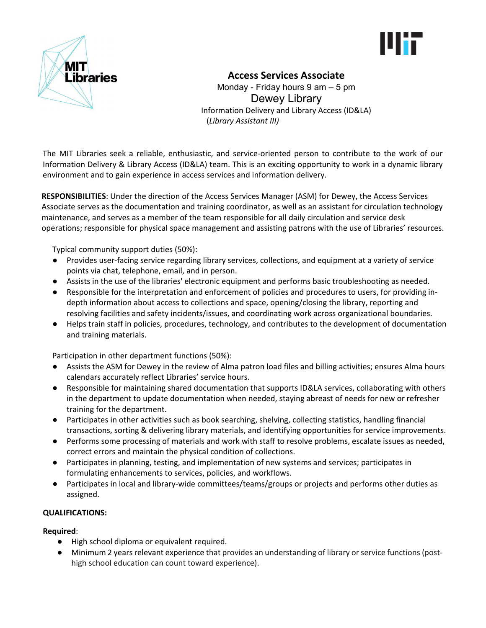



# **Access Services Associate**

Monday - Friday hours 9 am – 5 pm Dewey Library Information Delivery and Library Access (ID&LA) (*Library Assistant III)*

The MIT Libraries seek a reliable, enthusiastic, and service-oriented person to contribute to the work of our Information Delivery & Library Access (ID&LA) team. This is an exciting opportunity to work in a dynamic library environment and to gain experience in access services and information delivery.

**RESPONSIBILITIES**: Under the direction of the Access Services Manager (ASM) for Dewey, the Access Services Associate serves as the documentation and training coordinator, as well as an assistant for circulation technology maintenance, and serves as a member of the team responsible for all daily circulation and service desk operations; responsible for physical space management and assisting patrons with the use of Libraries' resources.

Typical community support duties (50%):

- Provides user-facing service regarding library services, collections, and equipment at a variety of service points via chat, telephone, email, and in person.
- Assists in the use of the libraries' electronic equipment and performs basic troubleshooting as needed.
- Responsible for the interpretation and enforcement of policies and procedures to users, for providing indepth information about access to collections and space, opening/closing the library, reporting and resolving facilities and safety incidents/issues, and coordinating work across organizational boundaries.
- Helps train staff in policies, procedures, technology, and contributes to the development of documentation and training materials.

Participation in other department functions (50%):

- Assists the ASM for Dewey in the review of Alma patron load files and billing activities; ensures Alma hours calendars accurately reflect Libraries' service hours.
- Responsible for maintaining shared documentation that supports ID&LA services, collaborating with others in the department to update documentation when needed, staying abreast of needs for new or refresher training for the department.
- Participates in other activities such as book searching, shelving, collecting statistics, handling financial transactions, sorting & delivering library materials, and identifying opportunities for service improvements.
- Performs some processing of materials and work with staff to resolve problems, escalate issues as needed, correct errors and maintain the physical condition of collections.
- Participates in planning, testing, and implementation of new systems and services; participates in formulating enhancements to services, policies, and workflows.
- Participates in local and library-wide committees/teams/groups or projects and performs other duties as assigned.

## **QUALIFICATIONS:**

## **Required**:

- High school diploma or equivalent required.
- Minimum 2 years relevant experience that provides an understanding of library or service functions (posthigh school education can count toward experience).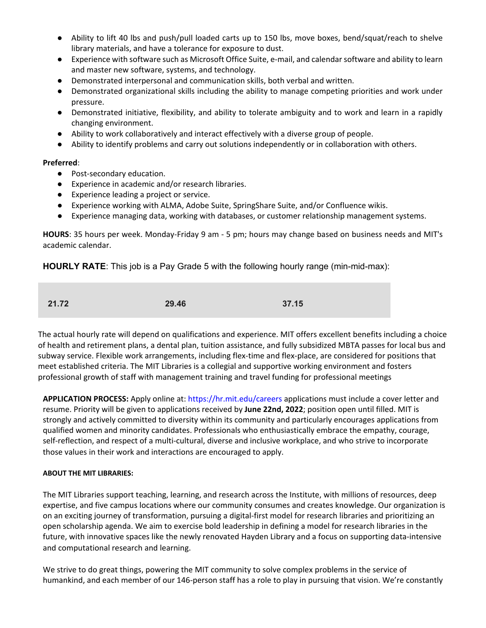- Ability to lift 40 lbs and push/pull loaded carts up to 150 lbs, move boxes, bend/squat/reach to shelve library materials, and have a tolerance for exposure to dust.
- Experience with software such as Microsoft Office Suite, e-mail, and calendar software and ability to learn and master new software, systems, and technology.
- Demonstrated interpersonal and communication skills, both verbal and written.
- Demonstrated organizational skills including the ability to manage competing priorities and work under pressure.
- Demonstrated initiative, flexibility, and ability to tolerate ambiguity and to work and learn in a rapidly changing environment.
- Ability to work collaboratively and interact effectively with a diverse group of people.
- Ability to identify problems and carry out solutions independently or in collaboration with others.

#### **Preferred**:

- Post-secondary education.
- Experience in academic and/or research libraries.
- Experience leading a project or service.
- Experience working with ALMA, Adobe Suite, SpringShare Suite, and/or Confluence wikis.
- Experience managing data, working with databases, or customer relationship management systems.

**HOURS**: 35 hours per week. Monday-Friday 9 am - 5 pm; hours may change based on business needs and MIT's academic calendar.

**HOURLY RATE**: This job is a Pay Grade 5 with the following hourly range (min-mid-max):

| 21.72 | 29.46 | 37.15 |
|-------|-------|-------|
|       |       |       |

The actual hourly rate will depend on qualifications and experience. MIT offers excellent benefits including a choice of health and retirement plans, a dental plan, tuition assistance, and fully subsidized MBTA passes for local bus and subway service. Flexible work arrangements, including flex-time and flex-place, are considered for positions that meet established criteria. The MIT Libraries is a collegial and supportive working environment and fosters professional growth of staff with management training and travel funding for professional meetings

**APPLICATION PROCESS:** Apply online at: https://hr.mit.edu/careers applications must include a cover letter and resume. Priority will be given to applications received by **June 22nd, 2022**; position open until filled. MIT is strongly and actively committed to diversity within its community and particularly encourages applications from qualified women and minority candidates. Professionals who enthusiastically embrace the empathy, courage, self-reflection, and respect of a multi-cultural, diverse and inclusive workplace, and who strive to incorporate those values in their work and interactions are encouraged to apply.

#### **ABOUT THE MIT LIBRARIES:**

The MIT Libraries support teaching, learning, and research across the Institute, with millions of resources, deep expertise, and five campus locations where our community consumes and creates knowledge. Our organization is on an exciting journey of transformation, pursuing a digital-first model for research libraries and prioritizing an open scholarship agenda. We aim to exercise bold leadership in defining a model for research libraries in the future, with innovative spaces like the newly renovated Hayden Library and a focus on supporting data-intensive and computational research and learning.

We strive to do great things, powering the MIT community to solve complex problems in the service of humankind, and each member of our 146-person staff has a role to play in pursuing that vision. We're constantly